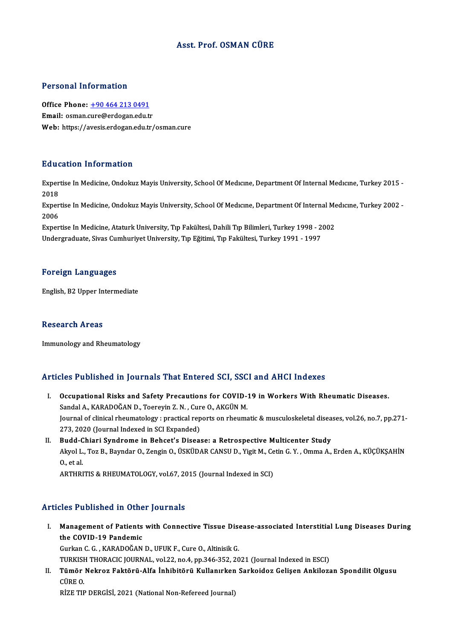### Asst. Prof. OSMAN CÜRE

#### Personal Information

Office Phone: +90 464 213 0491 Email: osman.[cure@erdogan.edu.t](tel:+90 464 213 0491)r Web: https://avesis.erdogan.edu.tr/osman.cure

#### Education Information

**Education Information**<br>Expertise In Medicine, Ondokuz Mayis University, School Of Medıcıne, Department Of Internal Medıcıne, Turkey 2015 -<br>2018 Exper<br>2018<br>Evper Expertise In Medicine, Ondokuz Mayis University, School Of Medıcıne, Department Of Internal Medıcıne, Turkey 2015 -<br>2018<br>Expertise In Medicine, Ondokuz Mayis University, School Of Medıcıne, Department Of Internal Medıcıne,

2018<br>Exper<br>2006<br>Evper Expertise In Medicine, Ondokuz Mayis University, School Of Medicine, Department Of Internal Me<br>2006<br>Expertise In Medicine, Ataturk University, Tıp Fakültesi, Dahili Tıp Bilimleri, Turkey 1998 - 2002<br>Undergraduate Siyas Cum

2006<br>Expertise In Medicine, Ataturk University, Tıp Fakültesi, Dahili Tıp Bilimleri, Turkey 1998 - 2002<br>Undergraduate, Sivas Cumhuriyet University, Tıp Eğitimi, Tıp Fakültesi, Turkey 1991 - 1997

#### Foreign Languages

English, B2 Upper Intermediate

#### Research Areas

Immunology and Rheumatology

#### Articles Published in Journals That Entered SCI, SSCI and AHCI Indexes

- rticles Published in Journals That Entered SCI, SSCI and AHCI Indexes<br>I. Occupational Risks and Safety Precautions for COVID-19 in Workers With Rheumatic Diseases.<br>Sandal A. KARADOČAN D. Teerevin Z.N., Cure O. AKCUN M. Sandal A., KARADOĞAN D., Toereyin Z. N., Cure O., AKGÜNM.<br>Sandal A., KARADOĞAN D., Toereyin Z. N., Cure O., AKGÜN M.<br>Journal of clinical rhoumatelegy : prectical reports on rhoums Occupational Risks and Safety Precautions for COVID-19 in Workers With Rheumatic Diseases.<br>Sandal A., KARADOĞAN D., Toereyin Z. N. , Cure O., AKGÜN M.<br>Journal of clinical rheumatology : practical reports on rheumatic & mus Sandal A., KARADOĞAN D., Toereyin Z. N. , Cur<br>Journal of clinical rheumatology : practical rep<br>273, 2020 (Journal Indexed in SCI Expanded)<br>Budd Chiari Syndrome in Bohast's Diseas Journal of clinical rheumatology : practical reports on rheumatic & musculoskeletal disea<br>273, 2020 (Journal Indexed in SCI Expanded)<br>II. Budd-Chiari Syndrome in Behcet's Disease: a Retrospective Multicenter Study<br>Alutel L
- 273, 2020 (Journal Indexed in SCI Expanded)<br>Budd-Chiari Syndrome in Behcet's Disease: a Retrospective Multicenter Study<br>Akyol L., Toz B., Bayndar O., Zengin O., ÜSKÜDAR CANSU D., Yigit M., Cetin G. Y. , Omma A., Erden A., **Budd-C<br>Akyol L.<br>O., et al.** Akyol L., Toz B., Bayndar O., Zengin O., ÜSKÜDAR CANSU D., Yigit M., Ce<br>O., et al.<br>ARTHRITIS & RHEUMATOLOGY, vol.67, 2015 (Journal Indexed in SCI)

ARTHRITIS & RHEUMATOLOGY, vol.67, 2015 (Journal Indexed in SCI)<br>Articles Published in Other Journals

rticles Published in Other Journals<br>I. Management of Patients with Connective Tissue Disease-associated Interstitial Lung Diseases During<br>the COVID 19 Pandemis Management of Patients<br>the COVID-19 Pandemic<br>Curkan C.C. KARADOČAN Management of Patients with Connective Tissue Dise<br>the COVID-19 Pandemic<br>Gurkan C. G. , KARADOĞAN D., UFUK F., Cure O., Altinisik G.<br>TURKISH THORACIC JOURNAL 178.2.2.2.9.0 4.2.2.3.2.2.2.2.2. the COVID-19 Pandemic<br>Gurkan C. G. , KARADOĞAN D., UFUK F., Cure O., Altinisik G.<br>TÜRKISH THORACIC JOURNAL, vol.22, no.4, pp.346-352, 2021 (Journal Indexed in ESCI)<br>Tümör Neknez Fektörü, Alfa İnhibitörü, Kullanırkan Sarkei

Gurkan C. G. , KARADOĞAN D., UFUK F., Cure O., Altinisik G.<br>TURKISH THORACIC JOURNAL, vol.22, no.4, pp.346-352, 2021 (Journal Indexed in ESCI)<br>II. Tümör Nekroz Faktörü-Alfa İnhibitörü Kullanırken Sarkoidoz Gelişen Anki TURKISI<br><mark>Tümör</mark><br>CÜRE O.<br>PİZE TIT

RİZE TIP DERGİSİ, 2021 (National Non-Refereed Journal)